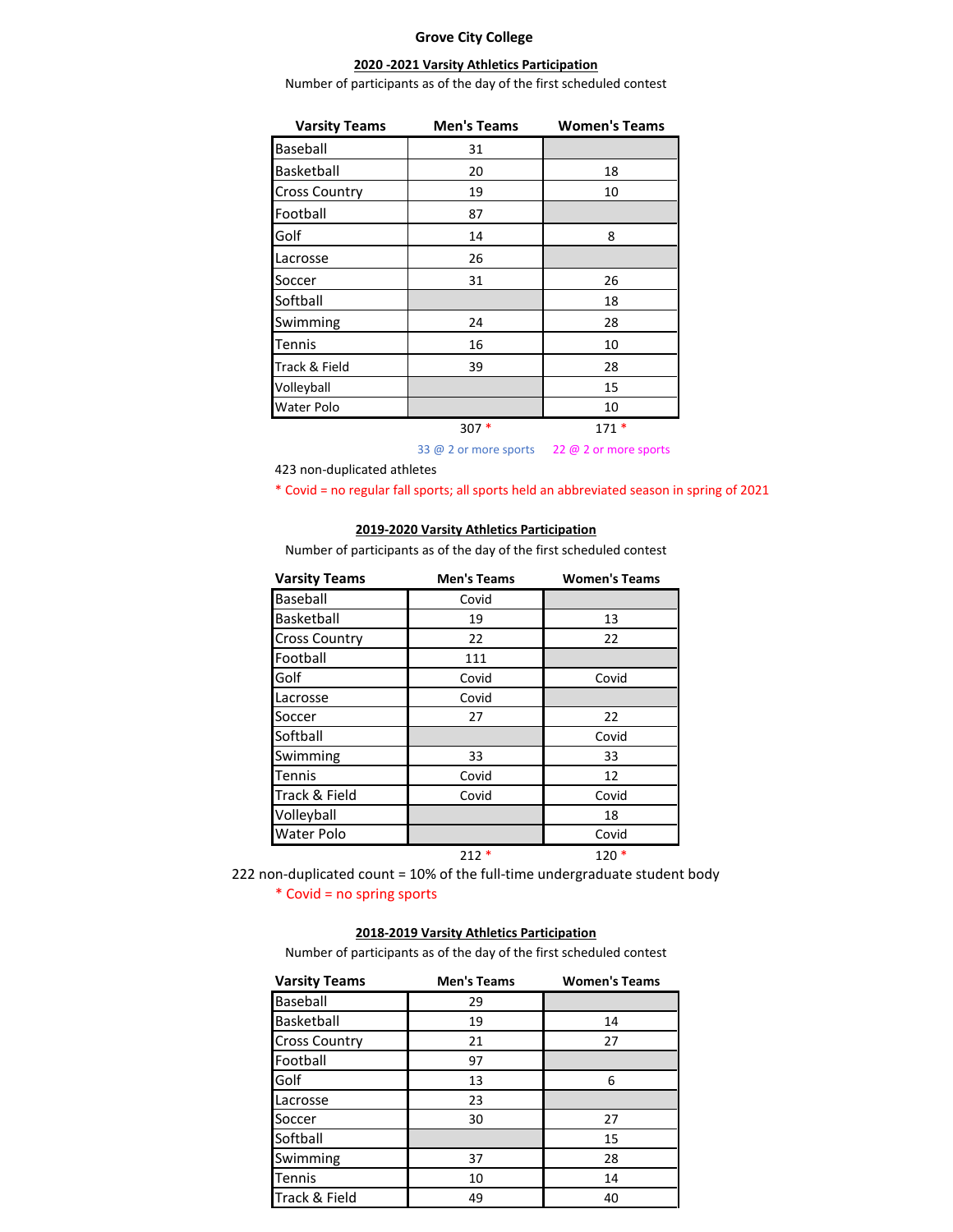## **Grove City College**

## **2020 -2021 Varsity Athletics Participation**

Number of participants as of the day of the first scheduled contest

| <b>Varsity Teams</b> | <b>Men's Teams</b> | <b>Women's Teams</b> |
|----------------------|--------------------|----------------------|
| Baseball             | 31                 |                      |
| Basketball           | 20                 | 18                   |
| <b>Cross Country</b> | 19                 | 10                   |
| Football             | 87                 |                      |
| Golf                 | 14                 | 8                    |
| Lacrosse             | 26                 |                      |
| Soccer               | 31                 | 26                   |
| Softball             |                    | 18                   |
| Swimming             | 24                 | 28                   |
| Tennis               | 16                 | 10                   |
| Track & Field        | 39                 | 28                   |
| Volleyball           |                    | 15                   |
| <b>Water Polo</b>    |                    | 10                   |
|                      | $307*$             | $171*$               |

33 @ 2 or more sports 22 @ 2 or more sports

423 non-duplicated athletes

\* Covid = no regular fall sports; all sports held an abbreviated season in spring of 2021

## **2019-2020 Varsity Athletics Participation**

Number of participants as of the day of the first scheduled contest

| <b>Varsity Teams</b> | <b>Men's Teams</b> | <b>Women's Teams</b> |
|----------------------|--------------------|----------------------|
| Baseball             | Covid              |                      |
| Basketball           | 19                 | 13                   |
| <b>Cross Country</b> | 22                 | 22                   |
| Football             | 111                |                      |
| Golf                 | Covid              | Covid                |
| Lacrosse             | Covid              |                      |
| Soccer               | 27                 | 22                   |
| Softball             |                    | Covid                |
| Swimming             | 33                 | 33                   |
| <b>Tennis</b>        | Covid              | 12                   |
| Track & Field        | Covid              | Covid                |
| Volleyball           |                    | 18                   |
| <b>Water Polo</b>    |                    | Covid                |
|                      | $212*$             | $120*$               |

\* Covid = no spring sports 222 non-duplicated count = 10% of the full-time undergraduate student body

## **2018-2019 Varsity Athletics Participation**

Number of participants as of the day of the first scheduled contest

| <b>Varsity Teams</b> | <b>Men's Teams</b> | <b>Women's Teams</b> |
|----------------------|--------------------|----------------------|
| Baseball             | 29                 |                      |
| Basketball           | 19                 | 14                   |
| <b>Cross Country</b> | 21                 | 27                   |
| Football             | 97                 |                      |
| Golf                 | 13                 | 6                    |
| Lacrosse             | 23                 |                      |
| Soccer               | 30                 | 27                   |
| Softball             |                    | 15                   |
| Swimming             | 37                 | 28                   |
| <b>Tennis</b>        | 10                 | 14                   |
| Track & Field        | 49                 | 40                   |